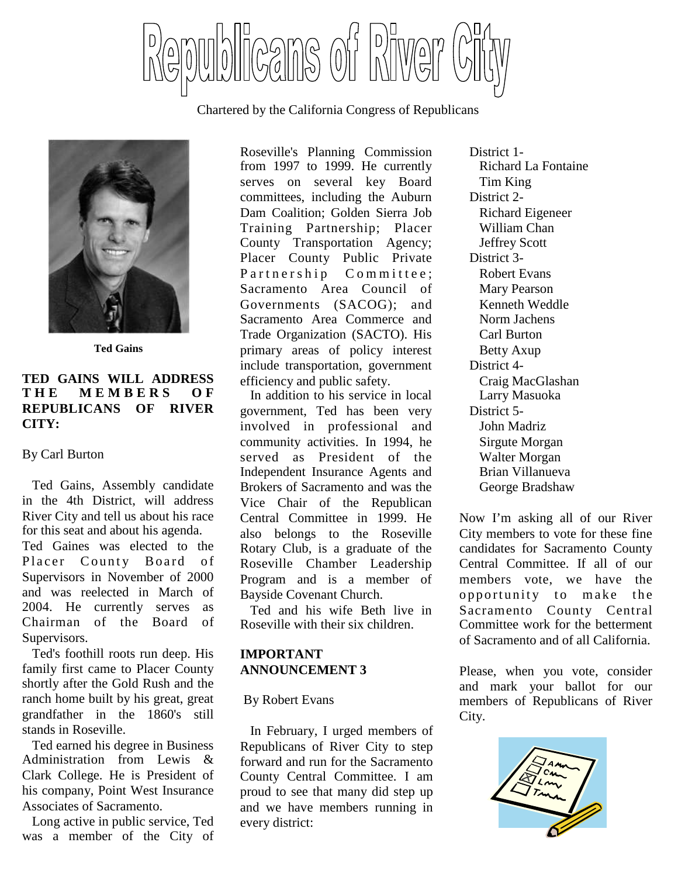

Chartered by the California Congress of Republicans



**Ted Gains**

### **TED GAINS WILL ADDRESS T H E M E M B E R S O F REPUBLICANS OF RIVER CITY:**

### By Carl Burton

Ted Gains, Assembly candidate in the 4th District, will address River City and tell us about his race for this seat and about his agenda.

Ted Gaines was elected to the Placer County Board of Supervisors in November of 2000 and was reelected in March of 2004. He currently serves as Chairman of the Board of Supervisors.

Ted's foothill roots run deep. His family first came to Placer County shortly after the Gold Rush and the ranch home built by his great, great grandfather in the 1860's still stands in Roseville.

Ted earned his degree in Business Administration from Lewis & Clark College. He is President of his company, Point West Insurance Associates of Sacramento.

Long active in public service, Ted was a member of the City of

Roseville's Planning Commission from 1997 to 1999. He currently serves on several key Board committees, including the Auburn Dam Coalition; Golden Sierra Job Training Partnership; Placer County Transportation Agency; Placer County Public Private Partnership Committee; Sacramento Area Council of Governments (SACOG); and Sacramento Area Commerce and Trade Organization (SACTO). His primary areas of policy interest include transportation, government efficiency and public safety.

In addition to his service in local government, Ted has been very involved in professional and community activities. In 1994, he served as President of the Independent Insurance Agents and Brokers of Sacramento and was the Vice Chair of the Republican Central Committee in 1999. He also belongs to the Roseville Rotary Club, is a graduate of the Roseville Chamber Leadership Program and is a member of Bayside Covenant Church.

Ted and his wife Beth live in Roseville with their six children.

## **IMPORTANT ANNOUNCEMENT 3**

### By Robert Evans

In February, I urged members of Republicans of River City to step forward and run for the Sacramento County Central Committee. I am proud to see that many did step up and we have members running in every district:

District 1- Richard La Fontaine Tim King District 2- Richard Eigeneer William Chan Jeffrey Scott District 3- Robert Evans Mary Pearson Kenneth Weddle Norm Jachens Carl Burton Betty Axup District 4- Craig MacGlashan Larry Masuoka District 5- John Madriz Sirgute Morgan Walter Morgan Brian Villanueva George Bradshaw

Now I'm asking all of our River City members to vote for these fine candidates for Sacramento County Central Committee. If all of our members vote, we have the opportunity to make the Sacramento County Central Committee work for the betterment of Sacramento and of all California.

Please, when you vote, consider and mark your ballot for our members of Republicans of River City.

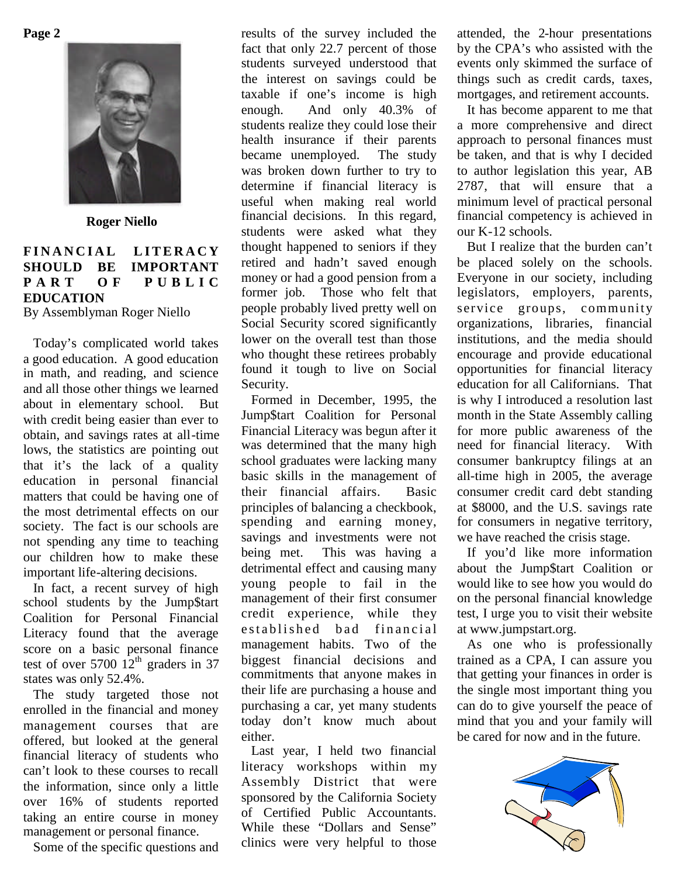**Page 2**



**Roger Niello**

## FINANCIAL LITERACY **SHOULD BE IMPORTANT P A R T O F P U B L I C EDUCATION**

By Assemblyman Roger Niello

Today's complicated world takes a good education. A good education in math, and reading, and science and all those other things we learned about in elementary school. But with credit being easier than ever to obtain, and savings rates at all-time lows, the statistics are pointing out that it's the lack of a quality education in personal financial matters that could be having one of the most detrimental effects on our society. The fact is our schools are not spending any time to teaching our children how to make these important life-altering decisions.

In fact, a recent survey of high school students by the Jump\$tart Coalition for Personal Financial Literacy found that the average score on a basic personal finance test of over  $5700 \space 12^{th}$  graders in 37 states was only 52.4%.

The study targeted those not enrolled in the financial and money management courses that are offered, but looked at the general financial literacy of students who can't look to these courses to recall the information, since only a little over 16% of students reported taking an entire course in money management or personal finance.

Some of the specific questions and

results of the survey included the fact that only 22.7 percent of those students surveyed understood that the interest on savings could be taxable if one's income is high enough. And only 40.3% of students realize they could lose their health insurance if their parents became unemployed. The study was broken down further to try to determine if financial literacy is useful when making real world financial decisions. In this regard, students were asked what they thought happened to seniors if they retired and hadn't saved enough money or had a good pension from a former job. Those who felt that people probably lived pretty well on Social Security scored significantly lower on the overall test than those who thought these retirees probably found it tough to live on Social Security.

Formed in December, 1995, the Jump\$tart Coalition for Personal Financial Literacy was begun after it was determined that the many high school graduates were lacking many basic skills in the management of their financial affairs. Basic principles of balancing a checkbook, spending and earning money, savings and investments were not being met. This was having a detrimental effect and causing many young people to fail in the management of their first consumer credit experience, while they established bad financial management habits. Two of the biggest financial decisions and commitments that anyone makes in their life are purchasing a house and purchasing a car, yet many students today don't know much about either.

Last year, I held two financial literacy workshops within my Assembly District that were sponsored by the California Society of Certified Public Accountants. While these "Dollars and Sense" clinics were very helpful to those attended, the 2-hour presentations by the CPA's who assisted with the events only skimmed the surface of things such as credit cards, taxes, mortgages, and retirement accounts.

It has become apparent to me that a more comprehensive and direct approach to personal finances must be taken, and that is why I decided to author legislation this year, AB 2787, that will ensure that a minimum level of practical personal financial competency is achieved in our K-12 schools.

But I realize that the burden can't be placed solely on the schools. Everyone in our society, including legislators, employers, parents, service groups, community organizations, libraries, financial institutions, and the media should encourage and provide educational opportunities for financial literacy education for all Californians. That is why I introduced a resolution last month in the State Assembly calling for more public awareness of the need for financial literacy. With consumer bankruptcy filings at an all-time high in 2005, the average consumer credit card debt standing at \$8000, and the U.S. savings rate for consumers in negative territory, we have reached the crisis stage.

If you'd like more information about the Jump\$tart Coalition or would like to see how you would do on the personal financial knowledge test, I urge you to visit their website at www.jumpstart.org.

As one who is professionally trained as a CPA, I can assure you that getting your finances in order is the single most important thing you can do to give yourself the peace of mind that you and your family will be cared for now and in the future.

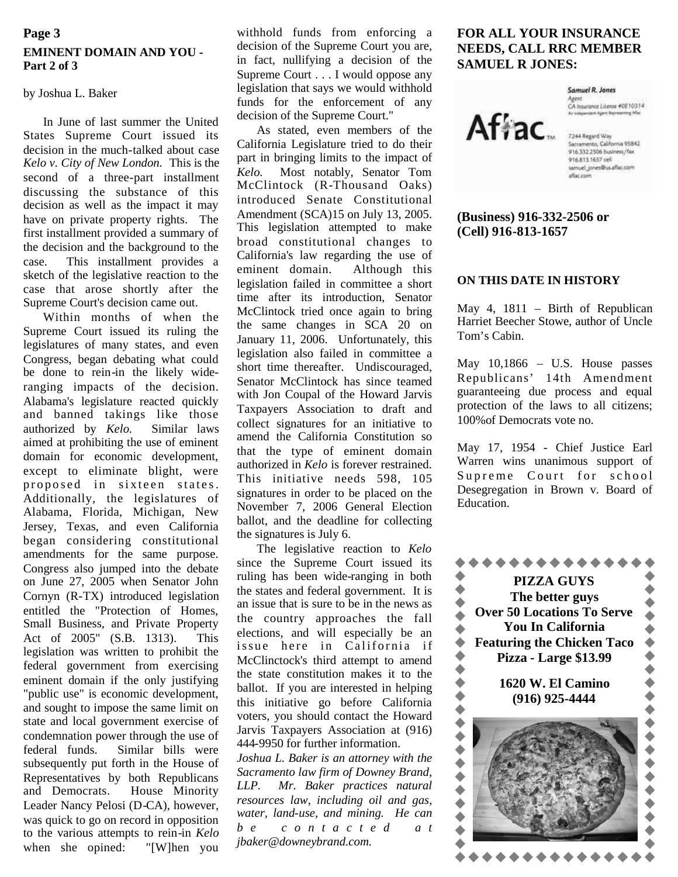### **EMINENT DOMAIN AND YOU - Part 2 of 3 Page 3**

### by Joshua L. Baker

In June of last summer the United States Supreme Court issued its decision in the much-talked about case *Kelo v. City of New London.* This is the second of a three-part installment discussing the substance of this decision as well as the impact it may have on private property rights. The first installment provided a summary of the decision and the background to the case. This installment provides a sketch of the legislative reaction to the case that arose shortly after the Supreme Court's decision came out.

Within months of when the Supreme Court issued its ruling the legislatures of many states, and even Congress, began debating what could be done to rein-in the likely wideranging impacts of the decision. Alabama's legislature reacted quickly and banned takings like those authorized by *Kelo.* Similar laws aimed at prohibiting the use of eminent domain for economic development, except to eliminate blight, were proposed in sixteen states. Additionally, the legislatures of Alabama, Florida, Michigan, New Jersey, Texas, and even California began considering constitutional amendments for the same purpose. Congress also jumped into the debate on June 27, 2005 when Senator John Cornyn (R-TX) introduced legislation entitled the "Protection of Homes, Small Business, and Private Property Act of 2005" (S.B. 1313). This legislation was written to prohibit the federal government from exercising eminent domain if the only justifying "public use" is economic development, and sought to impose the same limit on state and local government exercise of condemnation power through the use of federal funds. Similar bills were subsequently put forth in the House of Representatives by both Republicans and Democrats. House Minority Leader Nancy Pelosi (D-CA), however, was quick to go on record in opposition to the various attempts to rein-in *Kelo* when she opined: "[W]hen you

withhold funds from enforcing a decision of the Supreme Court you are, in fact, nullifying a decision of the Supreme Court . . . I would oppose any legislation that says we would withhold funds for the enforcement of any decision of the Supreme Court."

As stated, even members of the California Legislature tried to do their part in bringing limits to the impact of Most notably, Senator Tom McClintock (R-Thousand Oaks) introduced Senate Constitutional Amendment (SCA)15 on July 13, 2005. This legislation attempted to make broad constitutional changes to California's law regarding the use of eminent domain. Although this legislation failed in committee a short time after its introduction, Senator McClintock tried once again to bring the same changes in SCA 20 on January 11, 2006. Unfortunately, this legislation also failed in committee a short time thereafter. Undiscouraged, Senator McClintock has since teamed with Jon Coupal of the Howard Jarvis Taxpayers Association to draft and collect signatures for an initiative to amend the California Constitution so that the type of eminent domain authorized in *Kelo* is forever restrained. This initiative needs 598, 105 signatures in order to be placed on the November 7, 2006 General Election ballot, and the deadline for collecting the signatures is July 6.

The legislative reaction to *Kelo* since the Supreme Court issued its ruling has been wide-ranging in both the states and federal government. It is  $\bullet$  an issue that is sure to be in the news as an issue that is sure to be in the news as the country approaches the fall elections, and will especially be an elections, and will especially be an<br>issue here in California if<br>McClinctock's third attempt to amend<br>the state constitution makes it to the<br>ballot. If you are interested in helping<br>this initiative go before California<br>vot McClinctock's third attempt to amend the state constitution makes it to the ballot. If you are interested in helping this initiative go before California voters, you should contact the Howard Jarvis Taxpayers Association at (916) 444-9950 for further information.

*Joshua L. Baker is an attorney with the Sacramento law firm of Downey Brand, LLP. Mr. Baker practices natural resources law, including oil and gas, water, land-use, and mining. He can b e c o n t a c t e d a t jbaker@downeybrand.com.*

### **FOR ALL YOUR INSURANCE NEEDS, CALL RRC MEMBER SAMUEL R JONES:**

# Afiac.

Samuel R. Jones Agent.<br>CA Insurance License #0E10314

7244 Regard Way<br>Sacramento, California 95842 916.332.2506 business/fax 916.813.1657 cell samuel\_jones@us.aflac.com aflac.com

### **(Business) 916-332-2506 or (Cell) 916-813-1657**

### **ON THIS DATE IN HISTORY**

May 4, 1811 – Birth of Republican Harriet Beecher Stowe, author of Uncle Tom's Cabin.

May 10,1866 – U.S. House passes Republicans' 14th Amendment guaranteeing due process and equal protection of the laws to all citizens; 100%of Democrats vote no.

May 17, 1954 - Chief Justice Earl Warren wins unanimous support of Supreme Court for school Desegregation in Brown v. Board of Education.

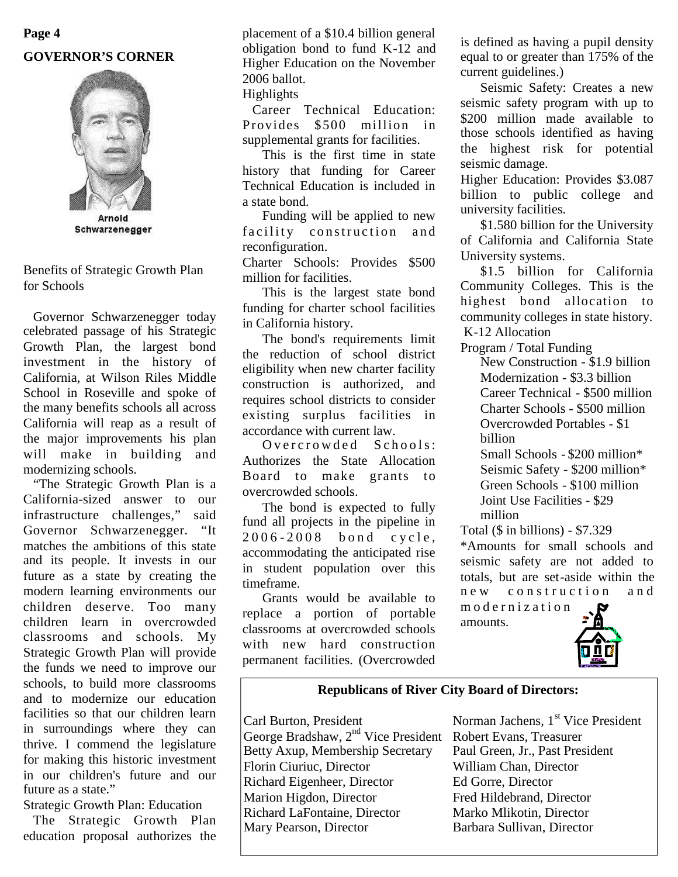# **Page 4 GOVERNOR'S CORNER**



Schwarzenegger

Benefits of Strategic Growth Plan for Schools

Governor Schwarzenegger today celebrated passage of his Strategic Growth Plan, the largest bond investment in the history of California, at Wilson Riles Middle School in Roseville and spoke of the many benefits schools all across California will reap as a result of the major improvements his plan will make in building and modernizing schools.

"The Strategic Growth Plan is a California-sized answer to our infrastructure challenges," said Governor Schwarzenegger. "It matches the ambitions of this state and its people. It invests in our future as a state by creating the modern learning environments our children deserve. Too many children learn in overcrowded classrooms and schools. My Strategic Growth Plan will provide the funds we need to improve our schools, to build more classrooms and to modernize our education facilities so that our children learn in surroundings where they can thrive. I commend the legislature for making this historic investment in our children's future and our future as a state."

Strategic Growth Plan: Education

The Strategic Growth Plan education proposal authorizes the

placement of a \$10.4 billion general obligation bond to fund K-12 and Higher Education on the November 2006 ballot.

### Highlights

Career Technical Education: Provides \$500 million in supplemental grants for facilities.

This is the first time in state history that funding for Career Technical Education is included in a state bond.

Funding will be applied to new facility construction and reconfiguration.

Charter Schools: Provides \$500 million for facilities.

This is the largest state bond funding for charter school facilities in California history.

The bond's requirements limit the reduction of school district eligibility when new charter facility construction is authorized, and requires school districts to consider existing surplus facilities in accordance with current law.

 $Overcrowded$  Schools: Authorizes the State Allocation Board to make grants to overcrowded schools.

The bond is expected to fully fund all projects in the pipeline in  $2006 - 2008$  bond cycle. accommodating the anticipated rise in student population over this timeframe.

Grants would be available to replace a portion of portable classrooms at overcrowded schools with new hard construction permanent facilities. (Overcrowded is defined as having a pupil density equal to or greater than 175% of the current guidelines.)

Seismic Safety: Creates a new seismic safety program with up to \$200 million made available to those schools identified as having the highest risk for potential seismic damage.

Higher Education: Provides \$3.087 billion to public college and university facilities.

\$1.580 billion for the University of California and California State University systems.

\$1.5 billion for California Community Colleges. This is the highest bond allocation to community colleges in state history. K-12 Allocation

Program / Total Funding

New Construction - \$1.9 billion Modernization - \$3.3 billion Career Technical - \$500 million Charter Schools - \$500 million Overcrowded Portables - \$1 billion

Small Schools - \$200 million\* Seismic Safety - \$200 million\* Green Schools - \$100 million Joint Use Facilities - \$29 million

Total (\$ in billions) - \$7.329

\*Amounts for small schools and seismic safety are not added to totals, but are set-aside within the new construction and

m o d e r n i z a t i o n amounts.



# **Republicans of River City Board of Directors:**

Carl Burton, President Norman Jachens, 1<sup>st</sup> Vice President George Bradshaw, 2<sup>nd</sup> Vice President Robert Evans, Treasurer<br>Betty Axup, Membership Secretary Paul Green, Jr., Past President Betty Axup, Membership Secretary Florin Ciuriuc, Director William Chan, Director Richard Eigenheer, Director Ed Gorre, Director Marion Higdon, Director Fred Hildebrand, Director Richard LaFontaine, Director Marko Mlikotin, Director<br>Mary Pearson, Director Barbara Sullivan, Director

Barbara Sullivan, Director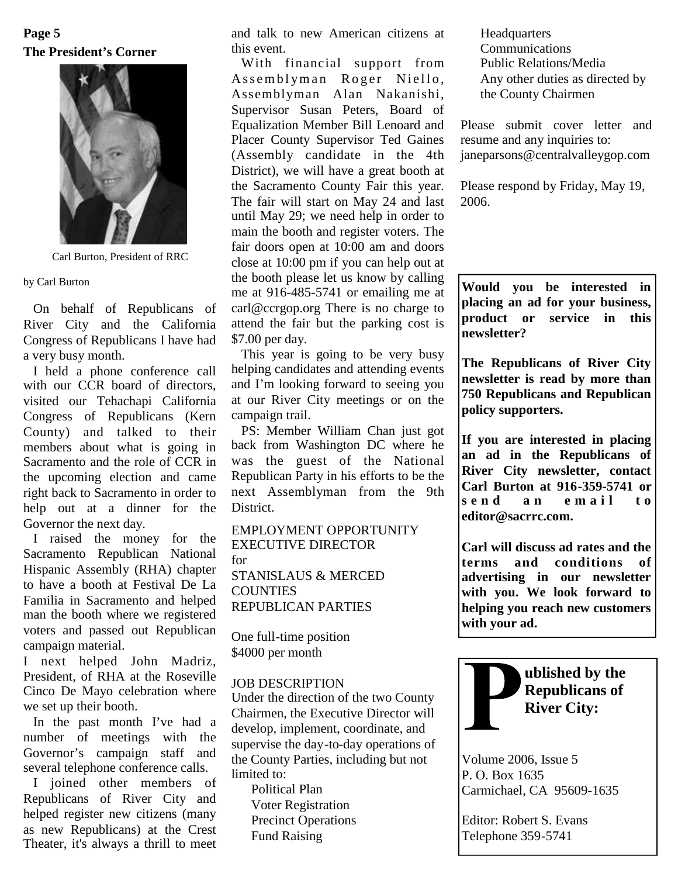## **The President's Corner Page 5**



Carl Burton, President of RRC

by Carl Burton

On behalf of Republicans of River City and the California Congress of Republicans I have had a very busy month.

I held a phone conference call with our CCR board of directors, visited our Tehachapi California Congress of Republicans (Kern County) and talked to their members about what is going in Sacramento and the role of CCR in the upcoming election and came right back to Sacramento in order to help out at a dinner for the Governor the next day.

I raised the money for the Sacramento Republican National Hispanic Assembly (RHA) chapter to have a booth at Festival De La Familia in Sacramento and helped man the booth where we registered voters and passed out Republican campaign material.

I next helped John Madriz, President, of RHA at the Roseville Cinco De Mayo celebration where we set up their booth.

In the past month I've had a number of meetings with the Governor's campaign staff and several telephone conference calls.

I joined other members of Republicans of River City and helped register new citizens (many as new Republicans) at the Crest Theater, it's always a thrill to meet and talk to new American citizens at this event.

With financial support from Assemblyman Roger Niello, Assemblyman Alan Nakanishi, Supervisor Susan Peters, Board of Equalization Member Bill Lenoard and Placer County Supervisor Ted Gaines (Assembly candidate in the 4th District), we will have a great booth at the Sacramento County Fair this year. The fair will start on May 24 and last until May 29; we need help in order to main the booth and register voters. The fair doors open at 10:00 am and doors close at 10:00 pm if you can help out at the booth please let us know by calling me at 916-485-5741 or emailing me at carl@ccrgop.org There is no charge to attend the fair but the parking cost is \$7.00 per day.

This year is going to be very busy helping candidates and attending events and I'm looking forward to seeing you at our River City meetings or on the campaign trail.

PS: Member William Chan just got back from Washington DC where he was the guest of the National Republican Party in his efforts to be the next Assemblyman from the 9th  $\begin{bmatrix} \text{Car} \\ \text{se} \\ \text{n d} \end{bmatrix}$ District.

EMPLOYMENT OPPORTUNITY EXECUTIVE DIRECTOR for STANISLAUS & MERCED **COUNTIES** REPUBLICAN PARTIES

One full-time position \$4000 per month

### JOB DESCRIPTION

Under the direction of the two County Chairmen, the Executive Director will develop, implement, coordinate, and supervise the day-to-day operations of the County Parties, including but not limited to:

Political Plan Voter Registration Precinct Operations Fund Raising

**Headquarters** Communications Public Relations/Media Any other duties as directed by the County Chairmen

Please submit cover letter and resume and any inquiries to: janeparsons@centralvalleygop.com

Please respond by Friday, May 19, 2006.

**Would you be interested in placing an ad for your business, product or service in this newsletter?**

**The Republicans of River City newsletter is read by more than 750 Republicans and Republican policy supporters.**

**If you are interested in placing an ad in the Republicans of River City newsletter, contact Carl Burton at 916-359-5741 or s e n d a n e m a i l t o editor@sacrrc.com.**

**Carl will discuss ad rates and the terms and conditions of advertising in our newsletter with you. We look forward to helping you reach new customers with your ad.**



**ublished by the Republicans of River City:**

Volume 2006, Issue 5 P. O. Box 1635 Carmichael, CA 95609-1635

Editor: Robert S. Evans Telephone 359-5741